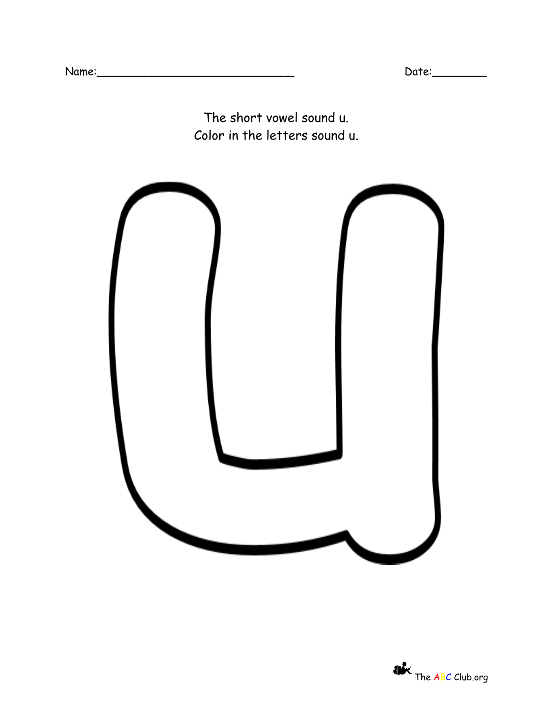The short vowel sound u. Color in the letters sound u.

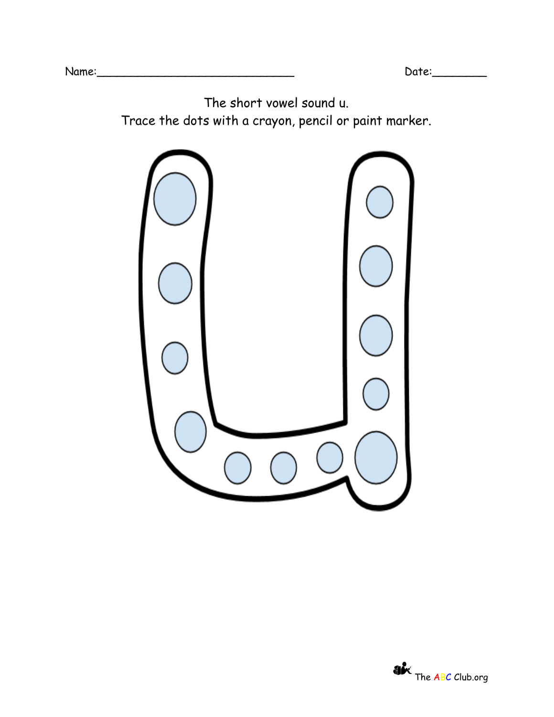The short vowel sound u. Trace the dots with a crayon, pencil or paint marker.



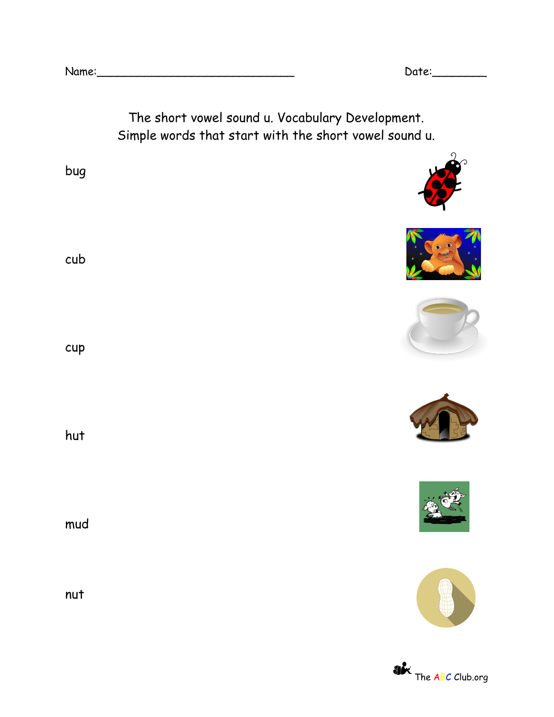

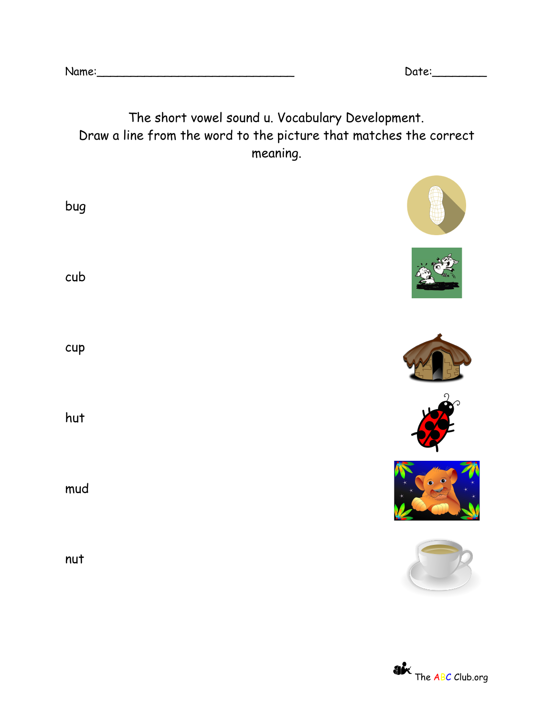## The short vowel sound u. Vocabulary Development. Draw a line from the word to the picture that matches the correct meaning.

| bug |  |
|-----|--|
| cub |  |
| cup |  |
| hut |  |
| mud |  |
| nut |  |

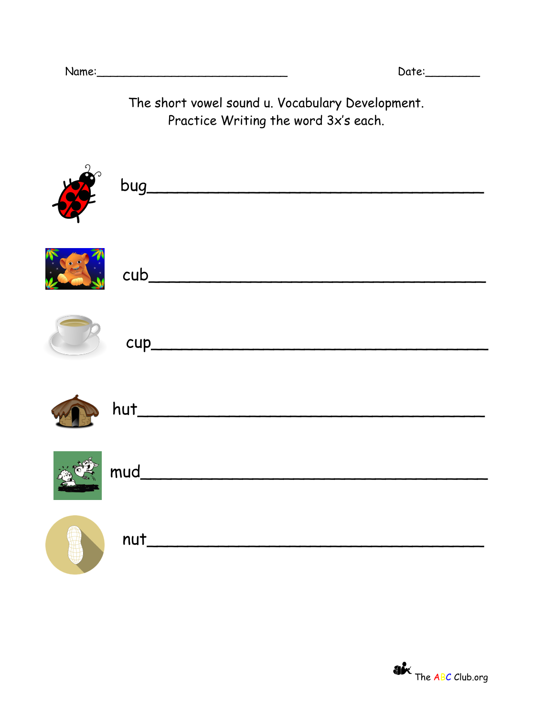The short vowel sound u. Vocabulary Development. Practice Writing the word 3x's each.

|           | $\frac{1}{2}$ bug |
|-----------|-------------------|
| $\bullet$ |                   |
|           |                   |
|           |                   |
|           |                   |
|           | nut               |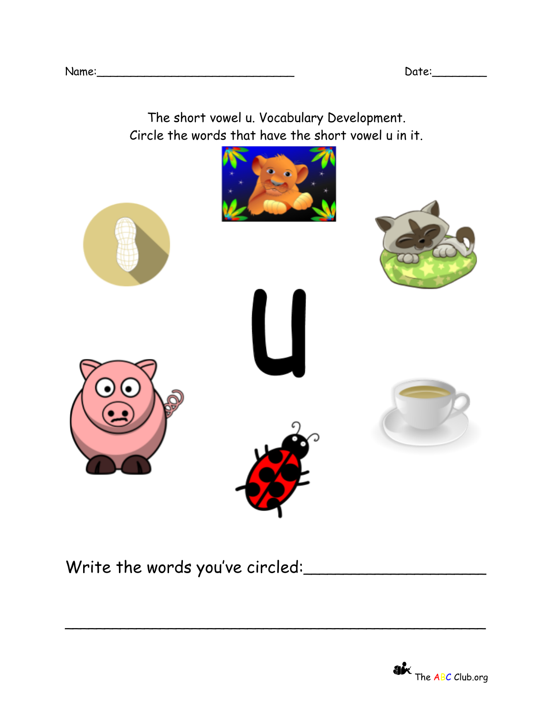The short vowel u. Vocabulary Development. Circle the words that have the short vowel u in it.



\_\_\_\_\_\_\_\_\_\_\_\_\_\_\_\_\_\_\_\_\_\_\_\_\_\_\_\_\_\_\_\_\_\_\_\_\_\_\_\_\_\_\_\_\_\_\_\_\_\_\_\_\_

Write the words you've circled: